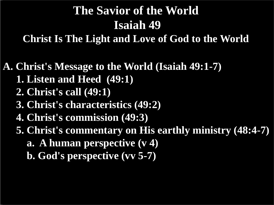## **The Savior of the World Isaiah 49**

**Christ Is The Light and Love of God to the World**

**A. Christ's Message to the World (Isaiah 49:1-7)**

- **1. Listen and Heed (49:1)**
- **2. Christ's call (49:1)**
- **3. Christ's characteristics (49:2)**
- **4. Christ's commission (49:3)**
- **5. Christ's commentary on His earthly ministry (48:4-7)**
	- **a. A human perspective (v 4)**
	- **b. God's perspective (vv 5-7)**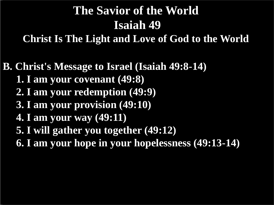# **The Savior of the World Isaiah 49**

**Christ Is The Light and Love of God to the World**

**B. Christ's Message to Israel (Isaiah 49:8-14)**

- **1. I am your covenant (49:8)**
- **2. I am your redemption (49:9)**
- **3. I am your provision (49:10)**
- **4. I am your way (49:11)**
- **5. I will gather you together (49:12)**
- **6. I am your hope in your hopelessness (49:13-14)**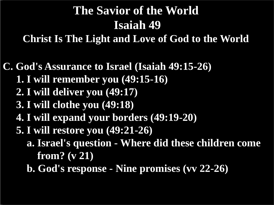# **The Savior of the World Isaiah 49**

**Christ Is The Light and Love of God to the World**

**C. God's Assurance to Israel (Isaiah 49:15-26)**

- **1. I will remember you (49:15-16)**
- **2. I will deliver you (49:17)**
- **3. I will clothe you (49:18)**
- **4. I will expand your borders (49:19-20)**
- **5. I will restore you (49:21-26)**
	- **a. Israel's question - Where did these children come from? (v 21)**
	- **b. God's response - Nine promises (vv 22-26)**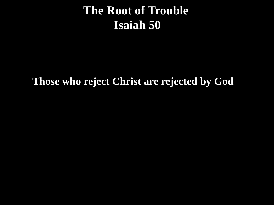#### **The Root of Trouble Isaiah 50**

#### **Those who reject Christ are rejected by God**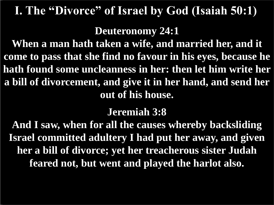#### **I. The "Divorce" of Israel by God (Isaiah 50:1)**

**Deuteronomy 24:1**

**When a man hath taken a wife, and married her, and it come to pass that she find no favour in his eyes, because he hath found some uncleanness in her: then let him write her a bill of divorcement, and give it in her hand, and send her out of his house.**

#### **Jeremiah 3:8**

**And I saw, when for all the causes whereby backsliding Israel committed adultery I had put her away, and given her a bill of divorce; yet her treacherous sister Judah feared not, but went and played the harlot also.**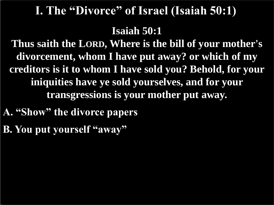#### **I. The "Divorce" of Israel (Isaiah 50:1)**

**Isaiah 50:1**

**Thus saith the LORD, Where is the bill of your mother's divorcement, whom I have put away? or which of my creditors is it to whom I have sold you? Behold, for your iniquities have ye sold yourselves, and for your transgressions is your mother put away.**

- **A. "Show" the divorce papers**
- **B. You put yourself "away"**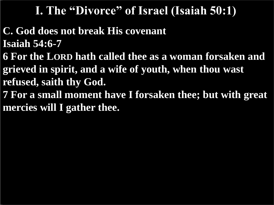#### **I. The "Divorce" of Israel (Isaiah 50:1)**

- **C. God does not break His covenant Isaiah 54:6-7**
- **6 For the LORD hath called thee as a woman forsaken and grieved in spirit, and a wife of youth, when thou wast refused, saith thy God.**
- **7 For a small moment have I forsaken thee; but with great mercies will I gather thee.**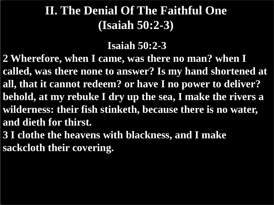#### **II. The Denial Of The Faithful One (Isaiah 50:2-3)**

#### **Isaiah 50:2-3**

- **2 Wherefore, when I came, was there no man? when I called, was there none to answer? Is my hand shortened at all, that it cannot redeem? or have I no power to deliver? behold, at my rebuke I dry up the sea, I make the rivers a wilderness: their fish stinketh, because there is no water, and dieth for thirst.**
- **3 I clothe the heavens with blackness, and I make sackcloth their covering.**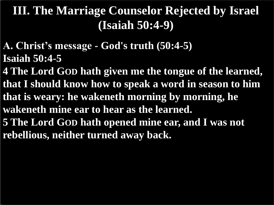**A. Christ's message - God's truth (50:4-5) Isaiah 50:4-5**

**4 The Lord GOD hath given me the tongue of the learned, that I should know how to speak a word in season to him that is weary: he wakeneth morning by morning, he wakeneth mine ear to hear as the learned. 5 The Lord GOD hath opened mine ear, and I was not rebellious, neither turned away back.**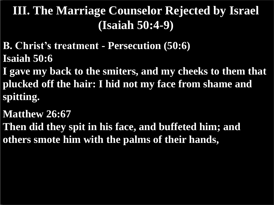**B. Christ's treatment - Persecution (50:6) Isaiah 50:6**

**I gave my back to the smiters, and my cheeks to them that plucked off the hair: I hid not my face from shame and spitting.**

**Matthew 26:67**

**Then did they spit in his face, and buffeted him; and others smote him with the palms of their hands,**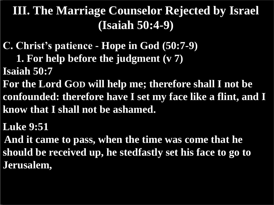- **C. Christ's patience - Hope in God (50:7-9)**
	- **1. For help before the judgment (v 7)**
- **Isaiah 50:7**
- **For the Lord GOD will help me; therefore shall I not be confounded: therefore have I set my face like a flint, and I know that I shall not be ashamed.**
- **Luke 9:51**
- **And it came to pass, when the time was come that he should be received up, he stedfastly set his face to go to Jerusalem,**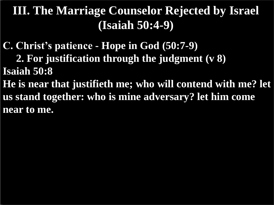**C. Christ's patience - Hope in God (50:7-9)**

 **2. For justification through the judgment (v 8) Isaiah 50:8**

**He is near that justifieth me; who will contend with me? let us stand together: who is mine adversary? let him come near to me.**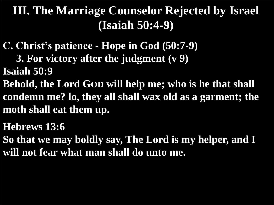- **C. Christ's patience - Hope in God (50:7-9)**
	- **3. For victory after the judgment (v 9)**
- **Isaiah 50:9**
- **Behold, the Lord GOD will help me; who is he that shall condemn me? lo, they all shall wax old as a garment; the moth shall eat them up.**
- **Hebrews 13:6**
- **So that we may boldly say, The Lord is my helper, and I will not fear what man shall do unto me.**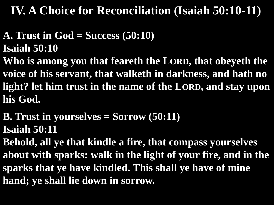#### **IV. A Choice for Reconciliation (Isaiah 50:10-11)**

- **A. Trust in God = Success (50:10) Isaiah 50:10**
- **Who is among you that feareth the LORD, that obeyeth the voice of his servant, that walketh in darkness, and hath no light? let him trust in the name of the LORD, and stay upon his God.**
- **B. Trust in yourselves = Sorrow (50:11) Isaiah 50:11**
- **Behold, all ye that kindle a fire, that compass yourselves about with sparks: walk in the light of your fire, and in the sparks that ye have kindled. This shall ye have of mine hand; ye shall lie down in sorrow.**